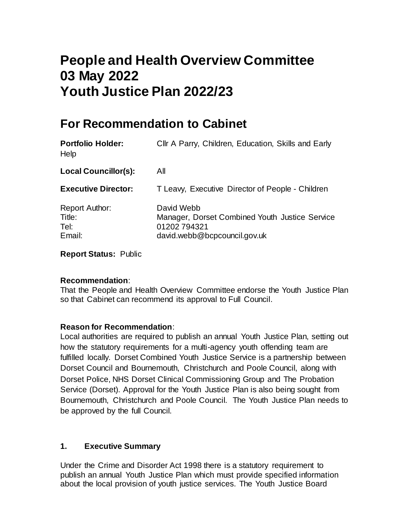# **People and Health Overview Committee 03 May 2022 Youth Justice Plan 2022/23**

## **For Recommendation to Cabinet**

| <b>Portfolio Holder:</b><br>Help                  | Cllr A Parry, Children, Education, Skills and Early                                                         |
|---------------------------------------------------|-------------------------------------------------------------------------------------------------------------|
| <b>Local Councillor(s):</b>                       | All                                                                                                         |
| <b>Executive Director:</b>                        | T Leavy, Executive Director of People - Children                                                            |
| <b>Report Author:</b><br>Title:<br>Tel:<br>Email: | David Webb<br>Manager, Dorset Combined Youth Justice Service<br>01202794321<br>david.webb@bcpcouncil.gov.uk |

**Report Status:** Public

#### **Recommendation**:

That the People and Health Overview Committee endorse the Youth Justice Plan so that Cabinet can recommend its approval to Full Council.

#### **Reason for Recommendation**:

Local authorities are required to publish an annual Youth Justice Plan, setting out how the statutory requirements for a multi-agency youth offending team are fulfilled locally. Dorset Combined Youth Justice Service is a partnership between Dorset Council and Bournemouth, Christchurch and Poole Council, along with Dorset Police, NHS Dorset Clinical Commissioning Group and The Probation Service (Dorset). Approval for the Youth Justice Plan is also being sought from Bournemouth, Christchurch and Poole Council. The Youth Justice Plan needs to be approved by the full Council.

#### **1. Executive Summary**

Under the Crime and Disorder Act 1998 there is a statutory requirement to publish an annual Youth Justice Plan which must provide specified information about the local provision of youth justice services. The Youth Justice Board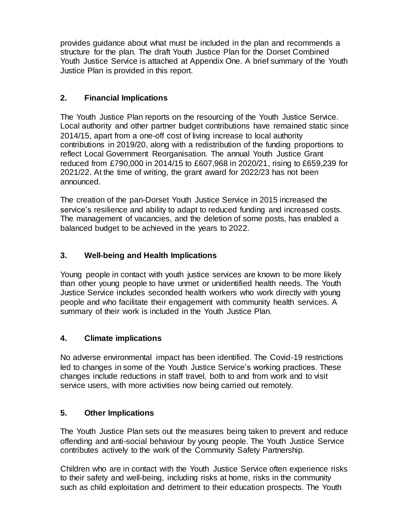provides guidance about what must be included in the plan and recommends a structure for the plan. The draft Youth Justice Plan for the Dorset Combined Youth Justice Service is attached at Appendix One. A brief summary of the Youth Justice Plan is provided in this report.

### **2. Financial Implications**

The Youth Justice Plan reports on the resourcing of the Youth Justice Service. Local authority and other partner budget contributions have remained static since 2014/15, apart from a one-off cost of living increase to local authority contributions in 2019/20, along with a redistribution of the funding proportions to reflect Local Government Reorganisation. The annual Youth Justice Grant reduced from £790,000 in 2014/15 to £607,968 in 2020/21, rising to £659,239 for 2021/22. At the time of writing, the grant award for 2022/23 has not been announced.

The creation of the pan-Dorset Youth Justice Service in 2015 increased the service's resilience and ability to adapt to reduced funding and increased costs. The management of vacancies, and the deletion of some posts, has enabled a balanced budget to be achieved in the years to 2022.

### **3. Well-being and Health Implications**

Young people in contact with youth justice services are known to be more likely than other young people to have unmet or unidentified health needs. The Youth Justice Service includes seconded health workers who work directly with young people and who facilitate their engagement with community health services. A summary of their work is included in the Youth Justice Plan.

#### **4. Climate implications**

No adverse environmental impact has been identified. The Covid-19 restrictions led to changes in some of the Youth Justice Service's working practices. These changes include reductions in staff travel, both to and from work and to visit service users, with more activities now being carried out remotely.

#### **5. Other Implications**

The Youth Justice Plan sets out the measures being taken to prevent and reduce offending and anti-social behaviour by young people. The Youth Justice Service contributes actively to the work of the Community Safety Partnership.

Children who are in contact with the Youth Justice Service often experience risks to their safety and well-being, including risks at home, risks in the community such as child exploitation and detriment to their education prospects. The Youth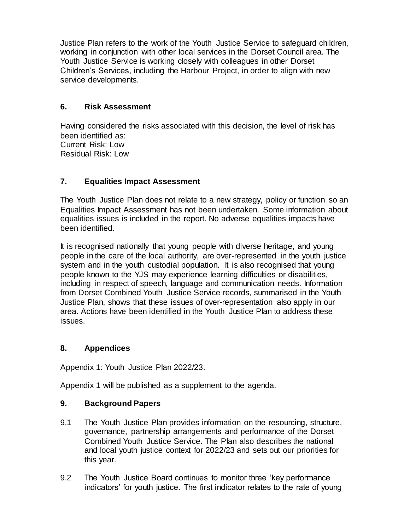Justice Plan refers to the work of the Youth Justice Service to safeguard children, working in conjunction with other local services in the Dorset Council area. The Youth Justice Service is working closely with colleagues in other Dorset Children's Services, including the Harbour Project, in order to align with new service developments.

#### **6. Risk Assessment**

Having considered the risks associated with this decision, the level of risk has been identified as: Current Risk: Low Residual Risk: Low

### **7. Equalities Impact Assessment**

The Youth Justice Plan does not relate to a new strategy, policy or function so an Equalities Impact Assessment has not been undertaken. Some information about equalities issues is included in the report. No adverse equalities impacts have been identified.

It is recognised nationally that young people with diverse heritage, and young people in the care of the local authority, are over-represented in the youth justice system and in the youth custodial population. It is also recognised that young people known to the YJS may experience learning difficulties or disabilities, including in respect of speech, language and communication needs. Information from Dorset Combined Youth Justice Service records, summarised in the Youth Justice Plan, shows that these issues of over-representation also apply in our area. Actions have been identified in the Youth Justice Plan to address these issues.

#### **8. Appendices**

Appendix 1: Youth Justice Plan 2022/23.

Appendix 1 will be published as a supplement to the agenda.

#### **9. Background Papers**

- 9.1 The Youth Justice Plan provides information on the resourcing, structure, governance, partnership arrangements and performance of the Dorset Combined Youth Justice Service. The Plan also describes the national and local youth justice context for 2022/23 and sets out our priorities for this year.
- 9.2 The Youth Justice Board continues to monitor three 'key performance indicators' for youth justice. The first indicator relates to the rate of young